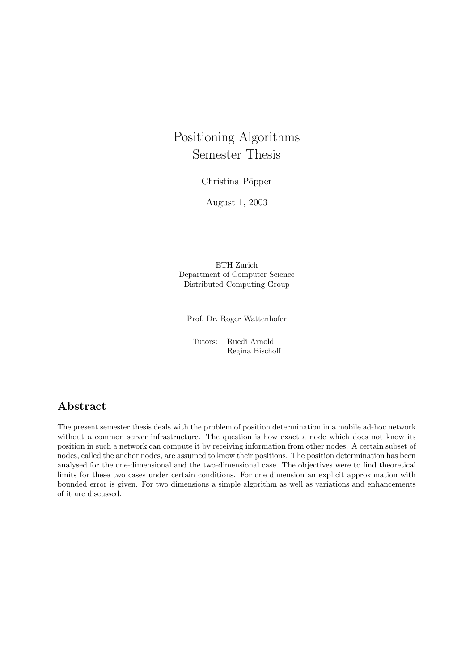# Positioning Algorithms Semester Thesis

Christina Pöpper

August 1, 2003

ETH Zurich Department of Computer Science Distributed Computing Group

Prof. Dr. Roger Wattenhofer

Tutors: Ruedi Arnold Regina Bischoff

# Abstract

The present semester thesis deals with the problem of position determination in a mobile ad-hoc network without a common server infrastructure. The question is how exact a node which does not know its position in such a network can compute it by receiving information from other nodes. A certain subset of nodes, called the anchor nodes, are assumed to know their positions. The position determination has been analysed for the one-dimensional and the two-dimensional case. The objectives were to find theoretical limits for these two cases under certain conditions. For one dimension an explicit approximation with bounded error is given. For two dimensions a simple algorithm as well as variations and enhancements of it are discussed.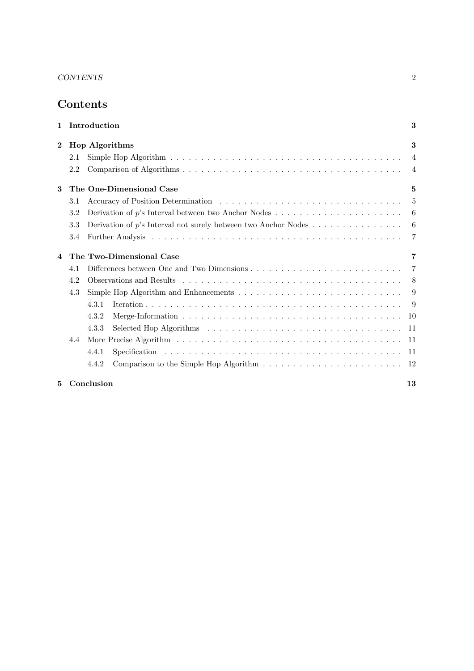# Contents

|          | 1 Introduction |                                                                                                       |                |
|----------|----------------|-------------------------------------------------------------------------------------------------------|----------------|
| $\bf{2}$ |                | <b>Hop Algorithms</b>                                                                                 | 3              |
|          | 2.1            |                                                                                                       | $\overline{4}$ |
|          | 2.2            |                                                                                                       | $\overline{4}$ |
| 3        |                | The One-Dimensional Case                                                                              | 5              |
|          | 3.1            |                                                                                                       |                |
|          | 3.2            | Derivation of p's Interval between two Anchor Nodes $\dots \dots \dots \dots \dots \dots \dots \dots$ | 6              |
|          | 3.3            | Derivation of p's Interval not surely between two Anchor Nodes $\dots \dots \dots \dots \dots$        | 6              |
|          | 3.4            |                                                                                                       | $\overline{7}$ |
| 4        |                | The Two-Dimensional Case                                                                              | 7              |
|          | 4.1            |                                                                                                       |                |
|          | 4.2            |                                                                                                       |                |
|          | 4.3            |                                                                                                       | -9             |
|          |                | 4.3.1                                                                                                 |                |
|          |                | 4.3.2                                                                                                 |                |
|          |                | 4.3.3                                                                                                 |                |
|          | 4.4            |                                                                                                       |                |
|          |                | 4.4.1                                                                                                 |                |
|          |                | 4.4.2                                                                                                 |                |
|          |                |                                                                                                       |                |

## 5 Conclusion 13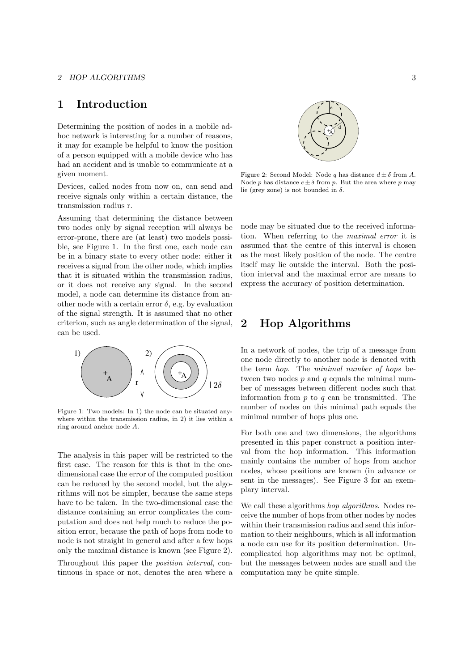#### 2 HOP ALGORITHMS 3

## 1 Introduction

Determining the position of nodes in a mobile adhoc network is interesting for a number of reasons, it may for example be helpful to know the position of a person equipped with a mobile device who has had an accident and is unable to communicate at a given moment.

Devices, called nodes from now on, can send and receive signals only within a certain distance, the transmission radius r.

Assuming that determining the distance between two nodes only by signal reception will always be error-prone, there are (at least) two models possible, see Figure 1. In the first one, each node can be in a binary state to every other node: either it receives a signal from the other node, which implies that it is situated within the transmission radius, or it does not receive any signal. In the second model, a node can determine its distance from another node with a certain error  $\delta$ , e.g. by evaluation of the signal strength. It is assumed that no other criterion, such as angle determination of the signal, can be used.



Figure 1: Two models: In 1) the node can be situated anywhere within the transmission radius, in 2) it lies within a ring around anchor node A.

The analysis in this paper will be restricted to the first case. The reason for this is that in the onedimensional case the error of the computed position can be reduced by the second model, but the algorithms will not be simpler, because the same steps have to be taken. In the two-dimensional case the distance containing an error complicates the computation and does not help much to reduce the position error, because the path of hops from node to node is not straight in general and after a few hops only the maximal distance is known (see Figure 2).

Throughout this paper the position interval, continuous in space or not, denotes the area where a



Figure 2: Second Model: Node q has distance  $d \pm \delta$  from A. Node p has distance  $e \pm \delta$  from p. But the area where p may lie (grey zone) is not bounded in  $\delta$ .

node may be situated due to the received information. When referring to the maximal error it is assumed that the centre of this interval is chosen as the most likely position of the node. The centre itself may lie outside the interval. Both the position interval and the maximal error are means to express the accuracy of position determination.

# 2 Hop Algorithms

In a network of nodes, the trip of a message from one node directly to another node is denoted with the term hop. The minimal number of hops between two nodes  $p$  and  $q$  equals the minimal number of messages between different nodes such that information from  $p$  to  $q$  can be transmitted. The number of nodes on this minimal path equals the minimal number of hops plus one.

For both one and two dimensions, the algorithms presented in this paper construct a position interval from the hop information. This information mainly contains the number of hops from anchor nodes, whose positions are known (in advance or sent in the messages). See Figure 3 for an exemplary interval.

We call these algorithms *hop algorithms*. Nodes receive the number of hops from other nodes by nodes within their transmission radius and send this information to their neighbours, which is all information a node can use for its position determination. Uncomplicated hop algorithms may not be optimal, but the messages between nodes are small and the computation may be quite simple.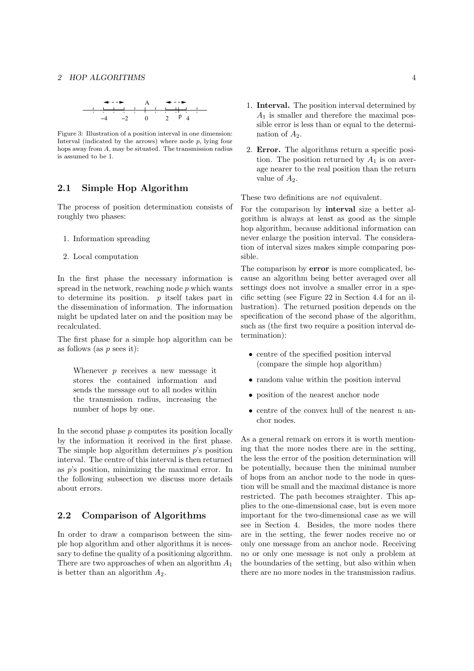

Figure 3: Illustration of a position interval in one dimension: Interval (indicated by the arrows) where node  $p$ , lying four hops away from A, may be situated. The transmission radius is assumed to be 1.

## 2.1 Simple Hop Algorithm

The process of position determination consists of roughly two phases:

- 1. Information spreading
- 2. Local computation

In the first phase the necessary information is spread in the network, reaching node  $p$  which wants to determine its position.  $p$  itself takes part in the dissemination of information. The information might be updated later on and the position may be recalculated.

The first phase for a simple hop algorithm can be as follows (as  $p$  sees it):

Whenever  $p$  receives a new message it stores the contained information and sends the message out to all nodes within the transmission radius, increasing the number of hops by one.

In the second phase  $p$  computes its position locally by the information it received in the first phase. The simple hop algorithm determines  $p$ 's position interval. The centre of this interval is then returned as p's position, minimizing the maximal error. In the following subsection we discuss more details about errors.

### 2.2 Comparison of Algorithms

In order to draw a comparison between the simple hop algorithm and other algorithms it is necessary to define the quality of a positioning algorithm. There are two approaches of when an algorithm  $A_1$ is better than an algorithm  $A_2$ .

- 1. Interval. The position interval determined by  $A_1$  is smaller and therefore the maximal possible error is less than or equal to the determination of  $A_2$ .
- 2. Error. The algorithms return a specific position. The position returned by  $A_1$  is on average nearer to the real position than the return value of  $A_2$ .

These two definitions are not equivalent.

For the comparison by interval size a better algorithm is always at least as good as the simple hop algorithm, because additional information can never enlarge the position interval. The consideration of interval sizes makes simple comparing possible.

The comparison by **error** is more complicated, because an algorithm being better averaged over all settings does not involve a smaller error in a specific setting (see Figure 22 in Section 4.4 for an illustration). The returned position depends on the specification of the second phase of the algorithm, such as (the first two require a position interval determination):

- centre of the specified position interval (compare the simple hop algorithm)
- random value within the position interval
- position of the nearest anchor node
- centre of the convex hull of the nearest n anchor nodes.

As a general remark on errors it is worth mentioning that the more nodes there are in the setting, the less the error of the position determination will be potentially, because then the minimal number of hops from an anchor node to the node in question will be small and the maximal distance is more restricted. The path becomes straighter. This applies to the one-dimensional case, but is even more important for the two-dimensional case as we will see in Section 4. Besides, the more nodes there are in the setting, the fewer nodes receive no or only one message from an anchor node. Receiving no or only one message is not only a problem at the boundaries of the setting, but also within when there are no more nodes in the transmission radius.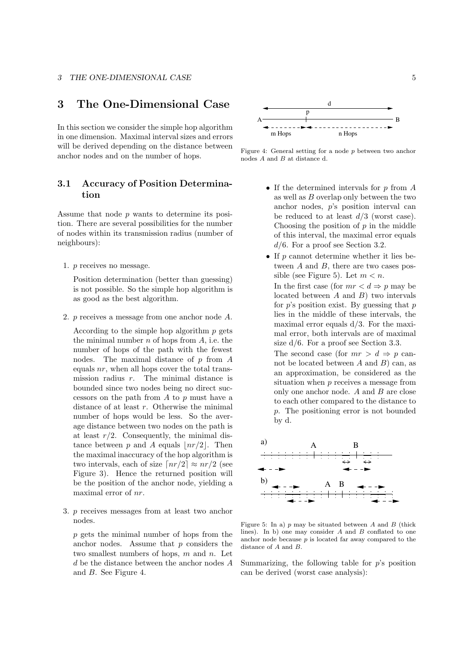## 3 The One-Dimensional Case

In this section we consider the simple hop algorithm in one dimension. Maximal interval sizes and errors will be derived depending on the distance between anchor nodes and on the number of hops.

## 3.1 Accuracy of Position Determination

Assume that node p wants to determine its position. There are several possibilities for the number of nodes within its transmission radius (number of neighbours):

1. p receives no message.

Position determination (better than guessing) is not possible. So the simple hop algorithm is as good as the best algorithm.

2. p receives a message from one anchor node A.

According to the simple hop algorithm  $p$  gets the minimal number  $n$  of hops from  $A$ , i.e. the number of hops of the path with the fewest nodes. The maximal distance of  $p$  from  $A$ equals  $nr$ , when all hops cover the total transmission radius  $r$ . The minimal distance is bounded since two nodes being no direct successors on the path from  $A$  to  $p$  must have a distance of at least  $r$ . Otherwise the minimal number of hops would be less. So the average distance between two nodes on the path is at least  $r/2$ . Consequently, the minimal distance between p and A equals  $\lfloor nr/2\rfloor$ . Then the maximal inaccuracy of the hop algorithm is two intervals, each of size  $\lceil nr/2 \rceil \approx nr/2$  (see Figure 3). Hence the returned position will be the position of the anchor node, yielding a maximal error of nr.

3. p receives messages from at least two anchor nodes.

p gets the minimal number of hops from the anchor nodes. Assume that  $p$  considers the two smallest numbers of hops,  $m$  and  $n$ . Let d be the distance between the anchor nodes A and B. See Figure 4.



Figure 4: General setting for a node p between two anchor nodes A and B at distance d.

- If the determined intervals for  $p$  from  $A$ as well as  $B$  overlap only between the two anchor nodes, p's position interval can be reduced to at least  $d/3$  (worst case). Choosing the position of  $p$  in the middle of this interval, the maximal error equals  $d/6$ . For a proof see Section 3.2.
- If  $p$  cannot determine whether it lies between A and B, there are two cases possible (see Figure 5). Let  $m < n$ . In the first case (for  $mr < d \Rightarrow p$  may be located between  $A$  and  $B$ ) two intervals for  $p$ 's position exist. By guessing that  $p$ lies in the middle of these intervals, the maximal error equals d/3. For the maximal error, both intervals are of maximal size  $d/6$ . For a proof see Section 3.3. The second case (for  $mr > d \Rightarrow p$  cannot be located between  $A$  and  $B$ ) can, as an approximation, be considered as the situation when p receives a message from only one anchor node. A and B are close

to each other compared to the distance to p. The positioning error is not bounded by d.



Figure 5: In a)  $p$  may be situated between  $A$  and  $B$  (thick lines). In b) one may consider  $A$  and  $B$  conflated to one anchor node because  $p$  is located far away compared to the distance of A and B.

Summarizing, the following table for  $p$ 's position can be derived (worst case analysis):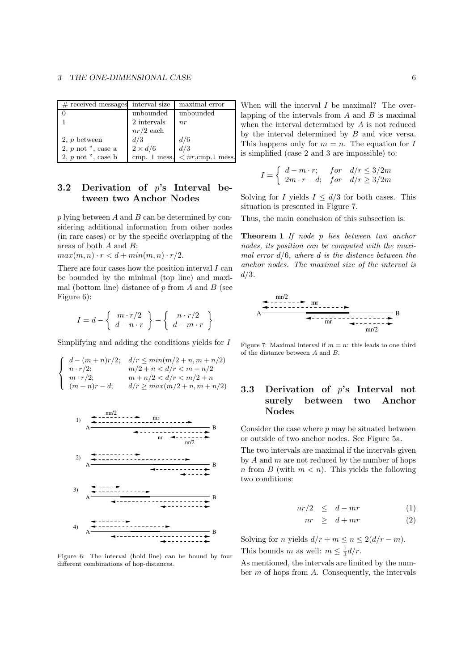| $#$ received messages          | interval size  | maximal error                    |
|--------------------------------|----------------|----------------------------------|
|                                | unbounded      | unbounded                        |
|                                | 2 intervals    | n r                              |
|                                | $nr/2$ each    |                                  |
| 2, $p$ between                 | d/3            | d/6                              |
| $2, p \text{ not } "$ , case a | $2 \times d/6$ | d/3                              |
| $2, p \text{ not } "$ , case b | cmp. 1 mess.   | $\langle nr, \text{cmp.1 mess.}$ |

## 3.2 Derivation of p's Interval between two Anchor Nodes

 $p$  lying between  $A$  and  $B$  can be determined by considering additional information from other nodes (in rare cases) or by the specific overlapping of the areas of both A and B:

 $max(m, n) \cdot r < d + min(m, n) \cdot r/2.$ 

There are four cases how the position interval  $I \text{ can}$ be bounded by the minimal (top line) and maximal (bottom line) distance of  $p$  from  $\ddot{A}$  and  $\ddot{B}$  (see Figure 6):

$$
I = d - \left\{ \begin{array}{c} m \cdot r/2 \\ d - n \cdot r \end{array} \right\} - \left\{ \begin{array}{c} n \cdot r/2 \\ d - m \cdot r \end{array} \right\}
$$

Simplifying and adding the conditions yields for  $I$ 

$$
\left\{\begin{array}{ll} d-(m+n)r/2; & d/r \leq \min(m/2+n, m+n/2) \\ n \cdot r/2; & m/2+n < d/r < m+n/2 \\ m \cdot r/2; & m+n/2 < d/r < m/2+n \\ (m+n)r-d; & d/r \geq \max(m/2+n, m+n/2) \end{array}\right.
$$



Figure 6: The interval (bold line) can be bound by four different combinations of hop-distances.

When will the interval  $I$  be maximal? The overlapping of the intervals from  $A$  and  $B$  is maximal when the interval determined by A is not reduced by the interval determined by B and vice versa. This happens only for  $m = n$ . The equation for I is simplified (case 2 and 3 are impossible) to:

$$
I = \begin{cases} d - m \cdot r; & \text{for} \quad d/r \le 3/2m \\ 2m \cdot r - d; & \text{for} \quad d/r \ge 3/2m \end{cases}
$$

Solving for I yields  $I \leq d/3$  for both cases. This situation is presented in Figure 7.

Thus, the main conclusion of this subsection is:

Theorem 1 If node p lies between two anchor nodes, its position can be computed with the maximal error  $d/6$ , where d is the distance between the anchor nodes. The maximal size of the interval is  $d/3$ .



Figure 7: Maximal interval if  $m = n$ : this leads to one third of the distance between A and B.

## 3.3 Derivation of p's Interval not surely between two Anchor Nodes

Consider the case where  $p$  may be situated between or outside of two anchor nodes. See Figure 5a.

The two intervals are maximal if the intervals given by  $A$  and  $m$  are not reduced by the number of hops n from B (with  $m < n$ ). This yields the following two conditions:

$$
nr/2 \leq d - mr \tag{1}
$$

$$
nr \geq d + mr \tag{2}
$$

Solving for *n* yields  $d/r + m \le n \le 2(d/r - m)$ . This bounds m as well:  $m \leq \frac{1}{3}d/r$ .

As mentioned, the intervals are limited by the number  $m$  of hops from  $A$ . Consequently, the intervals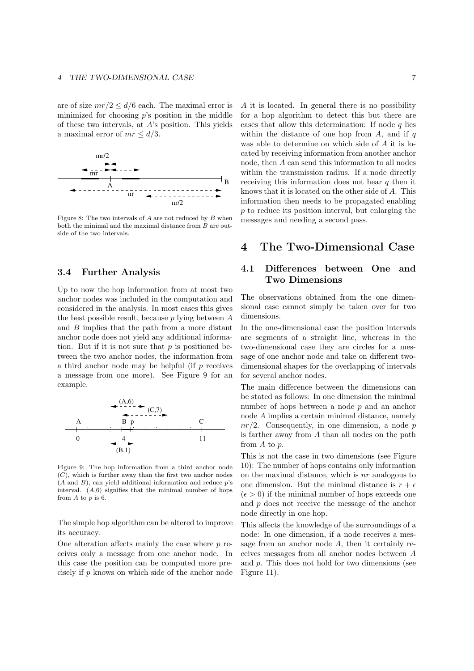are of size  $mr/2 \leq d/6$  each. The maximal error is minimized for choosing  $p$ 's position in the middle of these two intervals, at A's position. This yields a maximal error of  $mr < d/3$ .



Figure 8: The two intervals of  $A$  are not reduced by  $B$  when both the minimal and the maximal distance from B are outside of the two intervals.

#### 3.4 Further Analysis

Up to now the hop information from at most two anchor nodes was included in the computation and considered in the analysis. In most cases this gives the best possible result, because  $p$  lying between  $A$ and B implies that the path from a more distant anchor node does not yield any additional information. But if it is not sure that  $p$  is positioned between the two anchor nodes, the information from a third anchor node may be helpful (if  $p$  receives a message from one more). See Figure 9 for an example.



Figure 9: The hop information from a third anchor node  $(C)$ , which is further away than the first two anchor nodes  $(A \text{ and } B)$ , can yield additional information and reduce  $p$ 's interval.  $(A,6)$  signifies that the minimal number of hops from  $A$  to  $p$  is 6.

The simple hop algorithm can be altered to improve its accuracy.

One alteration affects mainly the case where  $p$  receives only a message from one anchor node. In this case the position can be computed more precisely if p knows on which side of the anchor node A it is located. In general there is no possibility for a hop algorithm to detect this but there are cases that allow this determination: If node  $q$  lies within the distance of one hop from  $A$ , and if  $q$ was able to determine on which side of A it is located by receiving information from another anchor node, then A can send this information to all nodes within the transmission radius. If a node directly receiving this information does not hear  $q$  then it knows that it is located on the other side of A. This information then needs to be propagated enabling  $p$  to reduce its position interval, but enlarging the messages and needing a second pass.

## 4 The Two-Dimensional Case

## 4.1 Differences between One and Two Dimensions

The observations obtained from the one dimensional case cannot simply be taken over for two dimensions.

In the one-dimensional case the position intervals are segments of a straight line, whereas in the two-dimensional case they are circles for a message of one anchor node and take on different twodimensional shapes for the overlapping of intervals for several anchor nodes.

The main difference between the dimensions can be stated as follows: In one dimension the minimal number of hops between a node p and an anchor node A implies a certain minimal distance, namely  $nr/2$ . Consequently, in one dimension, a node p is farther away from A than all nodes on the path from A to p.

This is not the case in two dimensions (see Figure 10): The number of hops contains only information on the maximal distance, which is  $nr$  analogous to one dimension. But the minimal distance is  $r + \epsilon$  $(\epsilon > 0)$  if the minimal number of hops exceeds one and p does not receive the message of the anchor node directly in one hop.

This affects the knowledge of the surroundings of a node: In one dimension, if a node receives a message from an anchor node  $A$ , then it certainly receives messages from all anchor nodes between A and p. This does not hold for two dimensions (see Figure 11).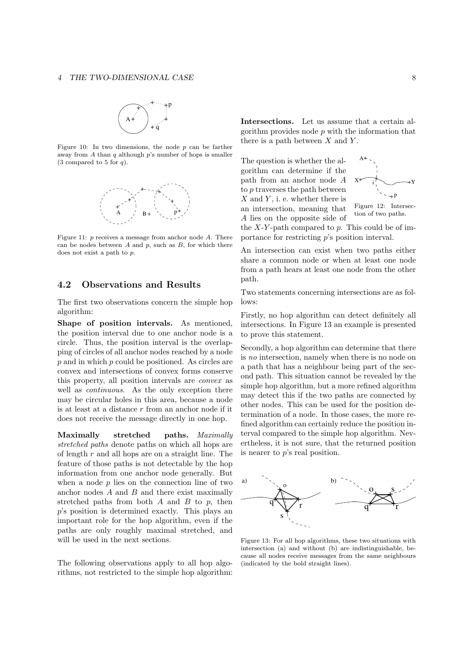

Figure 10: In two dimensions, the node  $p$  can be farther away from A than q although  $p$ 's number of hops is smaller  $(3$  compared to 5 for q.



Figure 11: p receives a message from anchor node A. There can be nodes between  $A$  and  $p$ , such as  $B$ , for which there does not exist a path to p.

## 4.2 Observations and Results

The first two observations concern the simple hop algorithm:

Shape of position intervals. As mentioned, the position interval due to one anchor node is a circle. Thus, the position interval is the overlapping of circles of all anchor nodes reached by a node  $p$  and in which  $p$  could be positioned. As circles are convex and intersections of convex forms conserve this property, all position intervals are convex as well as *continuous*. As the only exception there may be circular holes in this area, because a node is at least at a distance r from an anchor node if it does not receive the message directly in one hop.

Maximally stretched paths. Maximally stretched paths denote paths on which all hops are of length r and all hops are on a straight line. The feature of those paths is not detectable by the hop information from one anchor node generally. But when a node  $p$  lies on the connection line of two anchor nodes  $A$  and  $B$  and there exist maximally stretched paths from both  $A$  and  $B$  to  $p$ , then p's position is determined exactly. This plays an important role for the hop algorithm, even if the paths are only roughly maximal stretched, and will be used in the next sections.

The following observations apply to all hop algorithms, not restricted to the simple hop algorithm: Intersections. Let us assume that a certain algorithm provides node  $p$  with the information that there is a path between  $X$  and  $Y$ .

The question is whether the algorithm can determine if the path from an anchor node A to p traverses the path between  $X$  and  $Y$ , i. e. whether there is an intersection, meaning that A lies on the opposite side of



Figure 12: Intersection of two paths.

the  $X-Y$ -path compared to p. This could be of importance for restricting p's position interval.

An intersection can exist when two paths either share a common node or when at least one node from a path hears at least one node from the other path.

Two statements concerning intersections are as follows:

Firstly, no hop algorithm can detect definitely all intersections. In Figure 13 an example is presented to prove this statement.

Secondly, a hop algorithm can determine that there is no intersection, namely when there is no node on a path that has a neighbour being part of the second path. This situation cannot be revealed by the simple hop algorithm, but a more refined algorithm may detect this if the two paths are connected by other nodes. This can be used for the position determination of a node. In those cases, the more refined algorithm can certainly reduce the position interval compared to the simple hop algorithm. Nevertheless, it is not sure, that the returned position is nearer to p's real position.



Figure 13: For all hop algorithms, these two situations with intersection (a) and without (b) are indistinguishable, because all nodes receive messages from the same neighbours (indicated by the bold straight lines).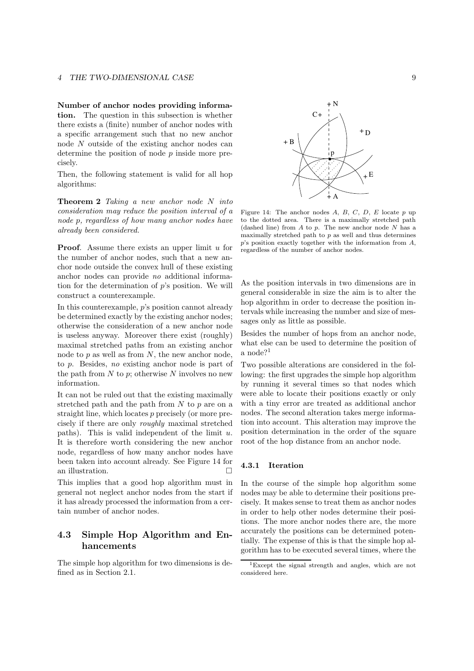#### 4 THE TWO-DIMENSIONAL CASE 9

Number of anchor nodes providing information. The question in this subsection is whether there exists a (finite) number of anchor nodes with a specific arrangement such that no new anchor node N outside of the existing anchor nodes can determine the position of node  $p$  inside more precisely.

Then, the following statement is valid for all hop algorithms:

Theorem 2 Taking a new anchor node N into consideration may reduce the position interval of a node p, regardless of how many anchor nodes have already been considered.

**Proof.** Assume there exists an upper limit  $u$  for the number of anchor nodes, such that a new anchor node outside the convex hull of these existing anchor nodes can provide no additional information for the determination of p's position. We will construct a counterexample.

In this counterexample, p's position cannot already be determined exactly by the existing anchor nodes; otherwise the consideration of a new anchor node is useless anyway. Moreover there exist (roughly) maximal stretched paths from an existing anchor node to  $p$  as well as from  $N$ , the new anchor node, to p. Besides, no existing anchor node is part of the path from  $N$  to  $p$ ; otherwise  $N$  involves no new information.

It can not be ruled out that the existing maximally stretched path and the path from  $N$  to  $p$  are on a straight line, which locates p precisely (or more precisely if there are only roughly maximal stretched paths). This is valid independent of the limit  $u$ . It is therefore worth considering the new anchor node, regardless of how many anchor nodes have been taken into account already. See Figure 14 for an illustration.

This implies that a good hop algorithm must in general not neglect anchor nodes from the start if it has already processed the information from a certain number of anchor nodes.

## 4.3 Simple Hop Algorithm and Enhancements

The simple hop algorithm for two dimensions is defined as in Section 2.1.



Figure 14: The anchor nodes  $A, B, C, D, E$  locate  $p$  up to the dotted area. There is a maximally stretched path (dashed line) from  $A$  to  $p$ . The new anchor node  $N$  has a maximally stretched path to p as well and thus determines  $p$ 's position exactly together with the information from  $A$ , regardless of the number of anchor nodes.

As the position intervals in two dimensions are in general considerable in size the aim is to alter the hop algorithm in order to decrease the position intervals while increasing the number and size of messages only as little as possible.

Besides the number of hops from an anchor node, what else can be used to determine the position of a node?<sup>1</sup>

Two possible alterations are considered in the following: the first upgrades the simple hop algorithm by running it several times so that nodes which were able to locate their positions exactly or only with a tiny error are treated as additional anchor nodes. The second alteration takes merge information into account. This alteration may improve the position determination in the order of the square root of the hop distance from an anchor node.

#### 4.3.1 Iteration

In the course of the simple hop algorithm some nodes may be able to determine their positions precisely. It makes sense to treat them as anchor nodes in order to help other nodes determine their positions. The more anchor nodes there are, the more accurately the positions can be determined potentially. The expense of this is that the simple hop algorithm has to be executed several times, where the

<sup>1</sup>Except the signal strength and angles, which are not considered here.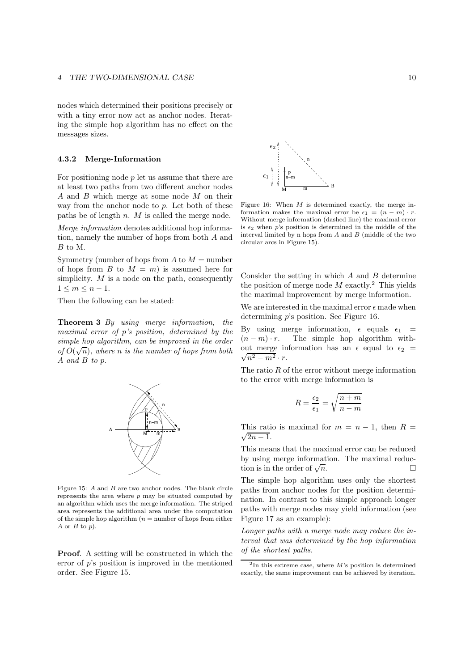#### 4 THE TWO-DIMENSIONAL CASE 10

nodes which determined their positions precisely or with a tiny error now act as anchor nodes. Iterating the simple hop algorithm has no effect on the messages sizes.

#### 4.3.2 Merge-Information

For positioning node  $p$  let us assume that there are at least two paths from two different anchor nodes A and B which merge at some node M on their way from the anchor node to p. Let both of these paths be of length  $n.$   $M$  is called the merge node.

Merge information denotes additional hop information, namely the number of hops from both A and B to M.

Symmetry (number of hops from  $A$  to  $M =$  number of hops from B to  $M = m$ ) is assumed here for simplicity.  $M$  is a node on the path, consequently  $1 \leq m \leq n-1$ .

Then the following can be stated:

Theorem 3 By using merge information, the maximal error of p's position, determined by the simple hop algorithm, can be improved in the order of  $O(\sqrt{n})$ , where n is the number of hops from both A and B to p.



Figure 15: A and B are two anchor nodes. The blank circle represents the area where  $p$  may be situated computed by an algorithm which uses the merge information. The striped area represents the additional area under the computation of the simple hop algorithm  $(n =$  number of hops from either A or  $B$  to  $p$ ).

Proof. A setting will be constructed in which the error of  $p$ 's position is improved in the mentioned order. See Figure 15.



Figure 16: When  $M$  is determined exactly, the merge information makes the maximal error be  $\epsilon_1 = (n - m) \cdot r$ . Without merge information (dashed line) the maximal error is  $\epsilon_2$  when p's position is determined in the middle of the interval limited by n hops from  $A$  and  $B$  (middle of the two circular arcs in Figure 15).

Consider the setting in which  $A$  and  $B$  determine the position of merge node  $M$  exactly.<sup>2</sup> This yields the maximal improvement by merge information.

We are interested in the maximal error  $\epsilon$  made when determining p's position. See Figure 16.

By using merge information,  $\epsilon$  equals  $\epsilon_1$  =  $(n-m) \cdot r$ . The simple hop algorithm with- $\sqrt{n^2-m^2} \cdot r$ . out merge information has an  $\epsilon$  equal to  $\epsilon_2$  =

The ratio  $R$  of the error without merge information to the error with merge information is

$$
R = \frac{\epsilon_2}{\epsilon_1} = \sqrt{\frac{n+m}{n-m}}
$$

This ratio is maximal for  $m = n - 1$ , then  $R =$  $\sqrt{2n-1}$ .

This means that the maximal error can be reduced by using merge information. The maximal reduction is in the order of  $\sqrt{n}$ .  $\overline{n}$ .

The simple hop algorithm uses only the shortest paths from anchor nodes for the position determination. In contrast to this simple approach longer paths with merge nodes may yield information (see Figure 17 as an example):

Longer paths with a merge node may reduce the interval that was determined by the hop information of the shortest paths.

 ${}^{2}\text{In}$  this extreme case, where M's position is determined exactly, the same improvement can be achieved by iteration.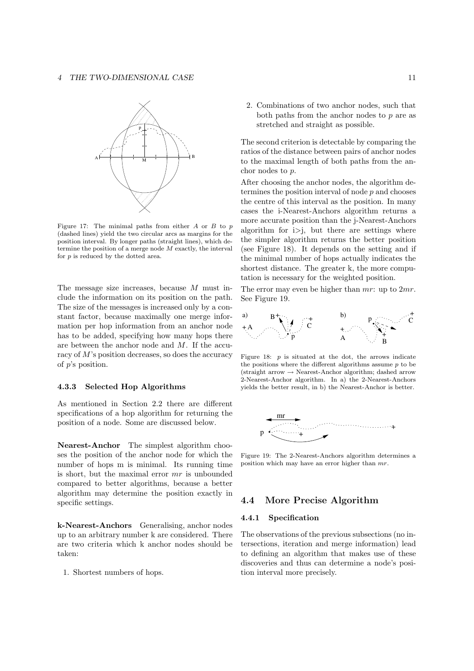

Figure 17: The minimal paths from either  $A$  or  $B$  to  $p$ (dashed lines) yield the two circular arcs as margins for the position interval. By longer paths (straight lines), which determine the position of a merge node  $M$  exactly, the interval for  $p$  is reduced by the dotted area.

The message size increases, because M must include the information on its position on the path. The size of the messages is increased only by a constant factor, because maximally one merge information per hop information from an anchor node has to be added, specifying how many hops there are between the anchor node and M. If the accuracy of M's position decreases, so does the accuracy of p's position.

#### 4.3.3 Selected Hop Algorithms

As mentioned in Section 2.2 there are different specifications of a hop algorithm for returning the position of a node. Some are discussed below.

Nearest-Anchor The simplest algorithm chooses the position of the anchor node for which the number of hops m is minimal. Its running time is short, but the maximal error mr is unbounded compared to better algorithms, because a better algorithm may determine the position exactly in specific settings.

k-Nearest-Anchors Generalising, anchor nodes up to an arbitrary number k are considered. There are two criteria which k anchor nodes should be taken:

1. Shortest numbers of hops.

2. Combinations of two anchor nodes, such that both paths from the anchor nodes to  $p$  are as stretched and straight as possible.

The second criterion is detectable by comparing the ratios of the distance between pairs of anchor nodes to the maximal length of both paths from the anchor nodes to p.

After choosing the anchor nodes, the algorithm determines the position interval of node p and chooses the centre of this interval as the position. In many cases the i-Nearest-Anchors algorithm returns a more accurate position than the j-Nearest-Anchors algorithm for  $i > j$ , but there are settings where the simpler algorithm returns the better position (see Figure 18). It depends on the setting and if the minimal number of hops actually indicates the shortest distance. The greater k, the more computation is necessary for the weighted position.

The error may even be higher than  $mr$ : up to  $2mr$ . See Figure 19.



Figure 18:  $p$  is situated at the dot, the arrows indicate the positions where the different algorithms assume  $p$  to be  $(\text{straight arrow} \rightarrow \text{Nearest-Anchor algorithm}; \text{dashed arrow})$ 2-Nearest-Anchor algorithm. In a) the 2-Nearest-Anchors yields the better result, in b) the Nearest-Anchor is better.



Figure 19: The 2-Nearest-Anchors algorithm determines a position which may have an error higher than mr.

### 4.4 More Precise Algorithm

#### 4.4.1 Specification

The observations of the previous subsections (no intersections, iteration and merge information) lead to defining an algorithm that makes use of these discoveries and thus can determine a node's position interval more precisely.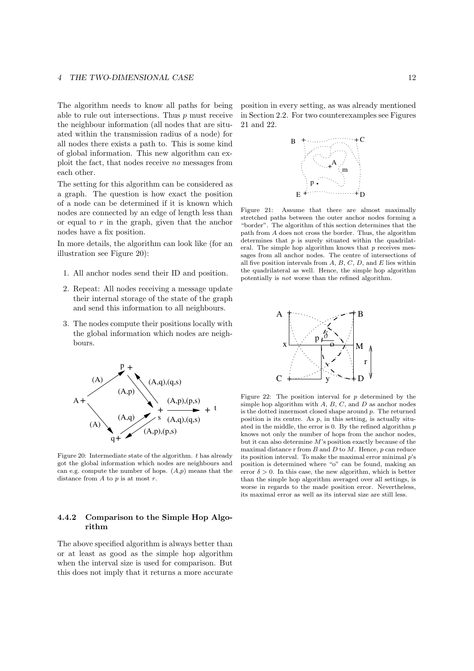The algorithm needs to know all paths for being able to rule out intersections. Thus  $p$  must receive the neighbour information (all nodes that are situated within the transmission radius of a node) for all nodes there exists a path to. This is some kind of global information. This new algorithm can exploit the fact, that nodes receive no messages from each other.

The setting for this algorithm can be considered as a graph. The question is how exact the position of a node can be determined if it is known which nodes are connected by an edge of length less than or equal to  $r$  in the graph, given that the anchor nodes have a fix position.

In more details, the algorithm can look like (for an illustration see Figure 20):

- 1. All anchor nodes send their ID and position.
- 2. Repeat: All nodes receiving a message update their internal storage of the state of the graph and send this information to all neighbours.
- 3. The nodes compute their positions locally with the global information which nodes are neighbours.



Figure 20: Intermediate state of the algorithm.  $t$  has already got the global information which nodes are neighbours and can e.g. compute the number of hops.  $(A,p)$  means that the distance from  $A$  to  $p$  is at most  $r$ .

#### 4.4.2 Comparison to the Simple Hop Algorithm

The above specified algorithm is always better than or at least as good as the simple hop algorithm when the interval size is used for comparison. But this does not imply that it returns a more accurate position in every setting, as was already mentioned in Section 2.2. For two counterexamples see Figures 21 and 22.



Figure 21: Assume that there are almost maximally stretched paths between the outer anchor nodes forming a "border". The algorithm of this section determines that the path from A does not cross the border. Thus, the algorithm determines that  $p$  is surely situated within the quadrilateral. The simple hop algorithm knows that  $p$  receives messages from all anchor nodes. The centre of intersections of all five position intervals from  $A, B, C, D$ , and  $E$  lies within the quadrilateral as well. Hence, the simple hop algorithm potentially is not worse than the refined algorithm.



Figure 22: The position interval for  $p$  determined by the simple hop algorithm with  $A, B, C$ , and  $D$  as anchor nodes is the dotted innermost closed shape around p. The returned position is its centre. As  $p$ , in this setting, is actually situated in the middle, the error is  $0$ . By the refined algorithm  $p$ knows not only the number of hops from the anchor nodes, but it can also determine M's position exactly because of the maximal distance r from  $B$  and  $D$  to  $M$ . Hence,  $p$  can reduce its position interval. To make the maximal error minimal p's position is determined where "o" can be found, making an error  $\delta > 0$ . In this case, the new algorithm, which is better than the simple hop algorithm averaged over all settings, is worse in regards to the made position error. Nevertheless, its maximal error as well as its interval size are still less.